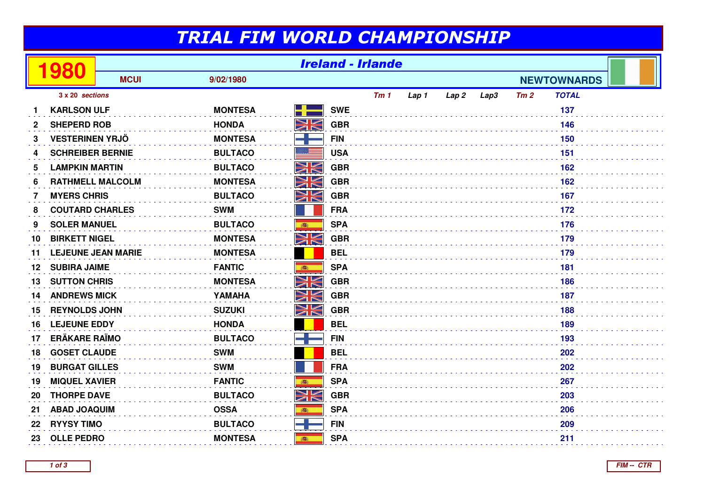## TRIAL FIM WORLD CHAMPIONSHIP

|    | 80                      | <b>Ireland - Irlande</b>  |                |          |            |     |       |       |      |     |                    |  |
|----|-------------------------|---------------------------|----------------|----------|------------|-----|-------|-------|------|-----|--------------------|--|
|    |                         | <b>MCUI</b>               | 9/02/1980      |          |            |     |       |       |      |     | <b>NEWTOWNARDS</b> |  |
|    | 3 x 20 sections         |                           |                |          |            | Tm1 | Lap 1 | Lap 2 | Lap3 | Tm2 | <b>TOTAL</b>       |  |
|    | <b>KARLSON ULF</b>      |                           | <b>MONTESA</b> | H.       | <b>SWE</b> |     |       |       |      |     | 137                |  |
| 2  | <b>SHEPERD ROB</b>      |                           | <b>HONDA</b>   | NV<br>ZN | <b>GBR</b> |     |       |       |      |     | 146                |  |
| 3  | <b>VESTERINEN YRJÖ</b>  |                           | <b>MONTESA</b> |          | <b>FIN</b> |     |       |       |      |     | 150                |  |
| 4  | <b>SCHREIBER BERNIE</b> |                           | <b>BULTACO</b> |          | <b>USA</b> |     |       |       |      |     | 151                |  |
| 5  | <b>LAMPKIN MARTIN</b>   |                           | <b>BULTACO</b> | NK       | <b>GBR</b> |     |       |       |      |     | 162                |  |
| 6  | <b>RATHMELL MALCOLM</b> |                           | <b>MONTESA</b> | WK       | <b>GBR</b> |     |       |       |      |     | 162                |  |
| 7  | <b>MYERS CHRIS</b>      |                           | <b>BULTACO</b> | NK       | <b>GBR</b> |     |       |       |      |     | 167                |  |
| 8  | <b>COUTARD CHARLES</b>  |                           | <b>SWM</b>     |          | <b>FRA</b> |     |       |       |      |     | 172                |  |
| 9  | <b>SOLER MANUEL</b>     |                           | <b>BULTACO</b> | 高        | <b>SPA</b> |     |       |       |      |     | 176                |  |
| 10 | <b>BIRKETT NIGEL</b>    |                           | <b>MONTESA</b> | NK       | <b>GBR</b> |     |       |       |      |     | 179                |  |
| 11 |                         | <b>LEJEUNE JEAN MARIE</b> | <b>MONTESA</b> |          | <b>BEL</b> |     |       |       |      |     | 179                |  |
| 12 | <b>SUBIRA JAIME</b>     |                           | <b>FANTIC</b>  |          | <b>SPA</b> | 181 |       |       |      |     |                    |  |
| 13 | <b>SUTTON CHRIS</b>     |                           | <b>MONTESA</b> | NK       | <b>GBR</b> |     |       |       |      |     | 186                |  |
| 14 | <b>ANDREWS MICK</b>     |                           | YAMAHA         | NV<br>ZN | <b>GBR</b> |     |       |       |      |     | 187                |  |
| 15 | <b>REYNOLDS JOHN</b>    |                           | <b>SUZUKI</b>  | XK       | <b>GBR</b> |     |       |       |      |     | 188                |  |
| 16 | <b>LEJEUNE EDDY</b>     |                           | <b>HONDA</b>   |          | <b>BEL</b> |     |       |       |      |     | 189                |  |
| 17 | <b>ERÄKARE RAÏMO</b>    |                           | <b>BULTACO</b> |          | <b>FIN</b> |     |       |       |      |     | 193                |  |
| 18 | <b>GOSET CLAUDE</b>     |                           | <b>SWM</b>     |          | <b>BEL</b> |     |       |       |      |     | 202                |  |
| 19 | <b>BURGAT GILLES</b>    |                           | <b>SWM</b>     |          | <b>FRA</b> |     |       |       |      |     | 202                |  |
| 19 | <b>MIQUEL XAVIER</b>    |                           | <b>FANTIC</b>  |          | <b>SPA</b> |     |       |       |      |     | 267                |  |
| 20 | <b>THORPE DAVE</b>      |                           | <b>BULTACO</b> | XK       | <b>GBR</b> |     |       |       |      |     | 203                |  |
| 21 | <b>ABAD JOAQUIM</b>     |                           | <b>OSSA</b>    | 高        | <b>SPA</b> |     |       |       |      |     | 206                |  |
| 22 | <b>RYYSY TIMO</b>       |                           | <b>BULTACO</b> |          | <b>FIN</b> |     |       |       |      |     | 209                |  |
| 23 | <b>OLLE PEDRO</b>       |                           | <b>MONTESA</b> | 瓣        | <b>SPA</b> |     |       |       |      |     | 211                |  |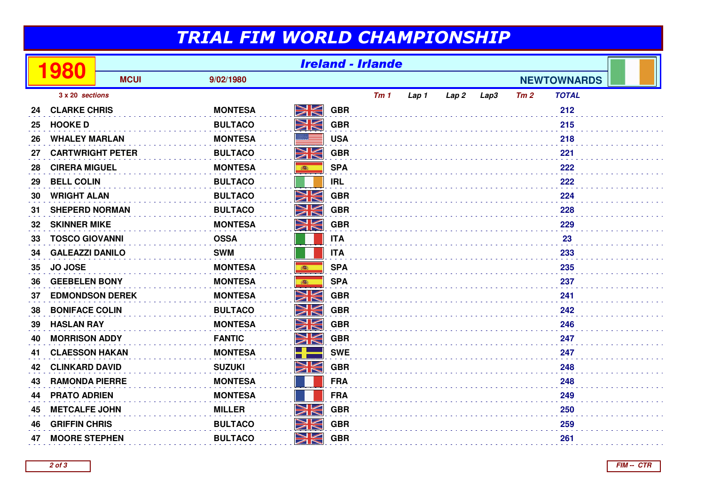## TRIAL FIM WORLD CHAMPIONSHIP

|                 | 980                     | <b>Ireland - Irlande</b> |                |           |            |     |       |                  |                    |     |              |  |
|-----------------|-------------------------|--------------------------|----------------|-----------|------------|-----|-------|------------------|--------------------|-----|--------------|--|
|                 |                         | <b>MCUI</b>              | 9/02/1980      |           |            |     |       |                  | <b>NEWTOWNARDS</b> |     |              |  |
| 3 x 20 sections |                         |                          |                |           |            | Tm1 | Lap 1 | Lap <sub>2</sub> | Lap3               | Tm2 | <b>TOTAL</b> |  |
| 24              | <b>CLARKE CHRIS</b>     |                          | <b>MONTESA</b> | NK        | <b>GBR</b> |     |       |                  |                    |     | 212          |  |
| 25              | <b>HOOKED</b>           |                          | <b>BULTACO</b> | NK        | <b>GBR</b> |     |       |                  |                    |     | 215          |  |
| 26              | <b>WHALEY MARLAN</b>    |                          | <b>MONTESA</b> |           | <b>USA</b> |     |       |                  |                    |     | 218          |  |
| 27              | <b>CARTWRIGHT PETER</b> |                          | <b>BULTACO</b> | NK<br>ZN  | <b>GBR</b> |     |       |                  |                    |     | 221          |  |
| 28              | <b>CIRERA MIGUEL</b>    |                          | <b>MONTESA</b> | 高         | <b>SPA</b> |     |       |                  |                    |     | 222          |  |
| 29              | <b>BELL COLIN</b>       |                          | <b>BULTACO</b> |           | <b>IRL</b> |     |       |                  |                    |     | 222          |  |
| 30              | <b>WRIGHT ALAN</b>      |                          | <b>BULTACO</b> | NK        | <b>GBR</b> |     |       |                  |                    |     | 224          |  |
| 31              | <b>SHEPERD NORMAN</b>   |                          | <b>BULTACO</b> | NK<br>ZN  | <b>GBR</b> |     |       |                  |                    |     | 228          |  |
| 32              | <b>SKINNER MIKE</b>     |                          | <b>MONTESA</b> | NK<br>NK  | <b>GBR</b> |     |       |                  |                    |     | 229          |  |
| 33              | <b>TOSCO GIOVANNI</b>   |                          | <b>OSSA</b>    |           | <b>ITA</b> |     |       |                  |                    |     | 23           |  |
| 34              | <b>GALEAZZI DANILO</b>  |                          | <b>SWM</b>     |           | <b>ITA</b> |     |       |                  |                    |     | 233          |  |
| 35              | <b>JO JOSE</b>          |                          | <b>MONTESA</b> | 高         | <b>SPA</b> |     |       |                  |                    |     | 235          |  |
| 36              | <b>GEEBELEN BONY</b>    |                          | <b>MONTESA</b> | 高         | <b>SPA</b> |     |       |                  |                    |     | 237          |  |
| 37              | <b>EDMONDSON DEREK</b>  |                          | <b>MONTESA</b> | NK<br>ZK  | <b>GBR</b> |     |       |                  |                    |     | 241          |  |
| 38              | <b>BONIFACE COLIN</b>   |                          | <b>BULTACO</b> | NK        | <b>GBR</b> |     |       |                  |                    |     | 242          |  |
| 39              | <b>HASLAN RAY</b>       |                          | <b>MONTESA</b> | NK<br>ZN  | <b>GBR</b> |     |       |                  |                    |     | 246          |  |
| 40              | <b>MORRISON ADDY</b>    |                          | <b>FANTIC</b>  | NK<br>ZK  | <b>GBR</b> |     |       |                  |                    |     | 247          |  |
| 41              | <b>CLAESSON HAKAN</b>   |                          | <b>MONTESA</b> |           | <b>SWE</b> |     |       |                  |                    |     | 247          |  |
| 42              | <b>CLINKARD DAVID</b>   |                          | <b>SUZUKI</b>  | NK<br>ZK  | <b>GBR</b> |     |       |                  |                    |     | 248          |  |
| 43              | <b>RAMONDA PIERRE</b>   |                          | <b>MONTESA</b> |           | <b>FRA</b> |     |       |                  |                    |     | 248          |  |
| 44              | <b>PRATO ADRIEN</b>     |                          | <b>MONTESA</b> |           | <b>FRA</b> |     |       |                  |                    |     | 249          |  |
| 45              | <b>METCALFE JOHN</b>    |                          | <b>MILLER</b>  | <u>NK</u> | <b>GBR</b> |     |       |                  |                    |     | 250          |  |
| 46              | <b>GRIFFIN CHRIS</b>    |                          | <b>BULTACO</b> | VK<br>ZK  | <b>GBR</b> |     |       |                  |                    |     | 259          |  |
| 47              | <b>MOORE STEPHEN</b>    |                          | <b>BULTACO</b> | XK        | <b>GBR</b> |     |       |                  |                    |     | 261          |  |

**2 of 3**